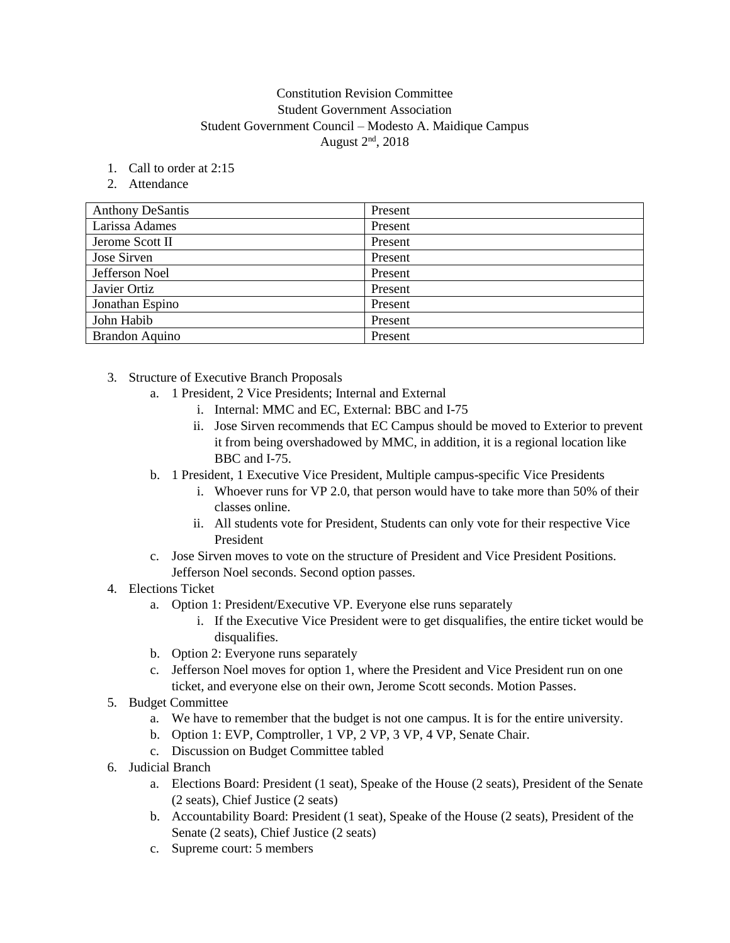## Constitution Revision Committee Student Government Association Student Government Council – Modesto A. Maidique Campus August  $2<sup>nd</sup>$ , 2018

- 1. Call to order at 2:15
- 2. Attendance

| <b>Anthony DeSantis</b> | Present |
|-------------------------|---------|
| Larissa Adames          | Present |
| Jerome Scott II         | Present |
| Jose Sirven             | Present |
| Jefferson Noel          | Present |
| Javier Ortiz            | Present |
| Jonathan Espino         | Present |
| John Habib              | Present |
| <b>Brandon Aquino</b>   | Present |

- 3. Structure of Executive Branch Proposals
	- a. 1 President, 2 Vice Presidents; Internal and External
		- i. Internal: MMC and EC, External: BBC and I-75
		- ii. Jose Sirven recommends that EC Campus should be moved to Exterior to prevent it from being overshadowed by MMC, in addition, it is a regional location like BBC and I-75.
	- b. 1 President, 1 Executive Vice President, Multiple campus-specific Vice Presidents
		- i. Whoever runs for VP 2.0, that person would have to take more than 50% of their classes online.
		- ii. All students vote for President, Students can only vote for their respective Vice President
	- c. Jose Sirven moves to vote on the structure of President and Vice President Positions. Jefferson Noel seconds. Second option passes.
- 4. Elections Ticket
	- a. Option 1: President/Executive VP. Everyone else runs separately
		- i. If the Executive Vice President were to get disqualifies, the entire ticket would be disqualifies.
	- b. Option 2: Everyone runs separately
	- c. Jefferson Noel moves for option 1, where the President and Vice President run on one ticket, and everyone else on their own, Jerome Scott seconds. Motion Passes.
- 5. Budget Committee
	- a. We have to remember that the budget is not one campus. It is for the entire university.
	- b. Option 1: EVP, Comptroller, 1 VP, 2 VP, 3 VP, 4 VP, Senate Chair.
	- c. Discussion on Budget Committee tabled
- 6. Judicial Branch
	- a. Elections Board: President (1 seat), Speake of the House (2 seats), President of the Senate (2 seats), Chief Justice (2 seats)
	- b. Accountability Board: President (1 seat), Speake of the House (2 seats), President of the Senate (2 seats), Chief Justice (2 seats)
	- c. Supreme court: 5 members